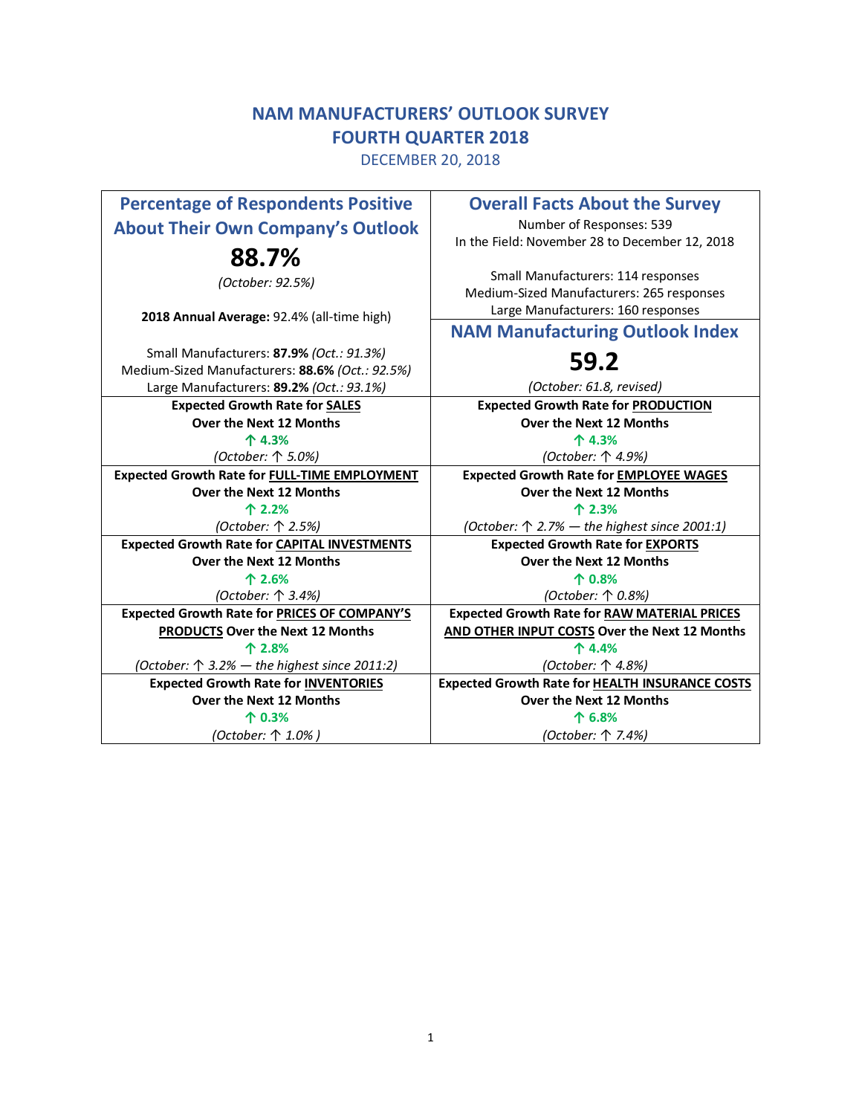# **NAM MANUFACTURERS' OUTLOOK SURVEY FOURTH QUARTER 2018**

DECEMBER 20, 2018

| <b>Percentage of Respondents Positive</b><br><b>About Their Own Company's Outlook</b>                                                   | <b>Overall Facts About the Survey</b><br>Number of Responses: 539<br>In the Field: November 28 to December 12, 2018   |
|-----------------------------------------------------------------------------------------------------------------------------------------|-----------------------------------------------------------------------------------------------------------------------|
| 88.7%<br>(October: 92.5%)                                                                                                               | Small Manufacturers: 114 responses<br>Medium-Sized Manufacturers: 265 responses<br>Large Manufacturers: 160 responses |
| 2018 Annual Average: 92.4% (all-time high)                                                                                              | <b>NAM Manufacturing Outlook Index</b>                                                                                |
| Small Manufacturers: 87.9% (Oct.: 91.3%)<br>Medium-Sized Manufacturers: 88.6% (Oct.: 92.5%)<br>Large Manufacturers: 89.2% (Oct.: 93.1%) | 59.2<br>(October: 61.8, revised)                                                                                      |
| <b>Expected Growth Rate for SALES</b>                                                                                                   | <b>Expected Growth Rate for PRODUCTION</b>                                                                            |
| Over the Next 12 Months                                                                                                                 | Over the Next 12 Months                                                                                               |
| 个 4.3%                                                                                                                                  | 个 4.3%                                                                                                                |
| (October: 个 5.0%)                                                                                                                       | (October: 个 4.9%)                                                                                                     |
| <b>Expected Growth Rate for FULL-TIME EMPLOYMENT</b>                                                                                    | <b>Expected Growth Rate for EMPLOYEE WAGES</b>                                                                        |
| Over the Next 12 Months                                                                                                                 | Over the Next 12 Months                                                                                               |
| 个 2.2%                                                                                                                                  | 个 2.3%                                                                                                                |
|                                                                                                                                         |                                                                                                                       |
| (October: 个 2.5%)                                                                                                                       | (October: $\uparrow$ 2.7% — the highest since 2001:1)                                                                 |
| <b>Expected Growth Rate for CAPITAL INVESTMENTS</b>                                                                                     | <b>Expected Growth Rate for EXPORTS</b>                                                                               |
| Over the Next 12 Months                                                                                                                 | Over the Next 12 Months                                                                                               |
| 个 2.6%                                                                                                                                  | 个 0.8%                                                                                                                |
| (October: 个 3.4%)                                                                                                                       | (October: 个 0.8%)                                                                                                     |
| <b>Expected Growth Rate for PRICES OF COMPANY'S</b>                                                                                     | <b>Expected Growth Rate for RAW MATERIAL PRICES</b>                                                                   |
| PRODUCTS Over the Next 12 Months                                                                                                        | AND OTHER INPUT COSTS Over the Next 12 Months                                                                         |
| 个 2.8%                                                                                                                                  | 个 4.4%                                                                                                                |
| (October: $\uparrow$ 3.2% — the highest since 2011:2)                                                                                   | (October: 个 4.8%)                                                                                                     |
| <b>Expected Growth Rate for INVENTORIES</b>                                                                                             | <b>Expected Growth Rate for HEALTH INSURANCE COSTS</b>                                                                |
| Over the Next 12 Months                                                                                                                 | <b>Over the Next 12 Months</b>                                                                                        |
| 个 0.3%<br>(October: 个 1.0%)                                                                                                             | 个 6.8%<br>(October: 个 7.4%)                                                                                           |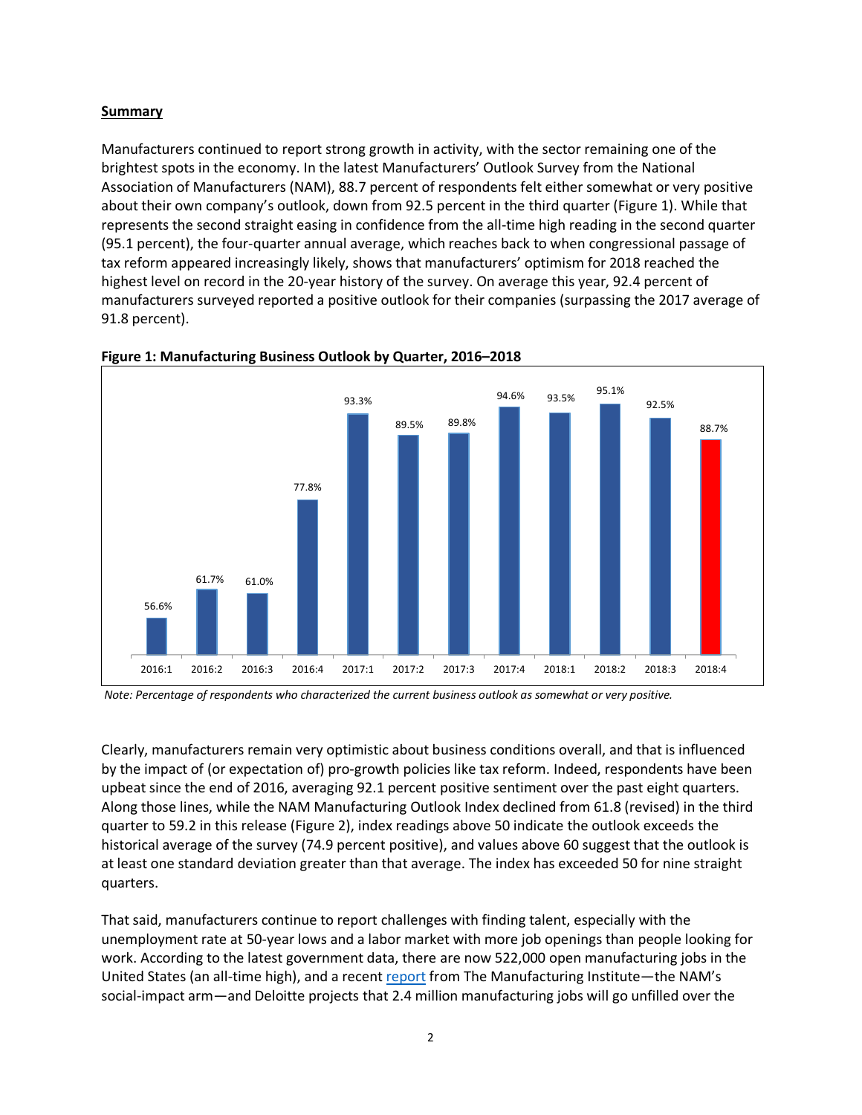# **Summary**

Manufacturers continued to report strong growth in activity, with the sector remaining one of the brightest spots in the economy. In the latest Manufacturers' Outlook Survey from the National Association of Manufacturers (NAM), 88.7 percent of respondents felt either somewhat or very positive about their own company's outlook, down from 92.5 percent in the third quarter (Figure 1). While that represents the second straight easing in confidence from the all-time high reading in the second quarter (95.1 percent), the four-quarter annual average, which reaches back to when congressional passage of tax reform appeared increasingly likely, shows that manufacturers' optimism for 2018 reached the highest level on record in the 20-year history of the survey. On average this year, 92.4 percent of manufacturers surveyed reported a positive outlook for their companies (surpassing the 2017 average of 91.8 percent).



#### **Figure 1: Manufacturing Business Outlook by Quarter, 2016–2018**

*Note: Percentage of respondents who characterized the current business outlook as somewhat or very positive.*

Clearly, manufacturers remain very optimistic about business conditions overall, and that is influenced by the impact of (or expectation of) pro-growth policies like tax reform. Indeed, respondents have been upbeat since the end of 2016, averaging 92.1 percent positive sentiment over the past eight quarters. Along those lines, while the NAM Manufacturing Outlook Index declined from 61.8 (revised) in the third quarter to 59.2 in this release (Figure 2), index readings above 50 indicate the outlook exceeds the historical average of the survey (74.9 percent positive), and values above 60 suggest that the outlook is at least one standard deviation greater than that average. The index has exceeded 50 for nine straight quarters.

That said, manufacturers continue to report challenges with finding talent, especially with the unemployment rate at 50-year lows and a labor market with more job openings than people looking for work. According to the latest government data, there are now 522,000 open manufacturing jobs in the United States (an all-time high), and a recent report from The Manufacturing Institute—the NAM's social-impact arm—and Deloitte projects that 2.4 million manufacturing jobs will go unfilled over the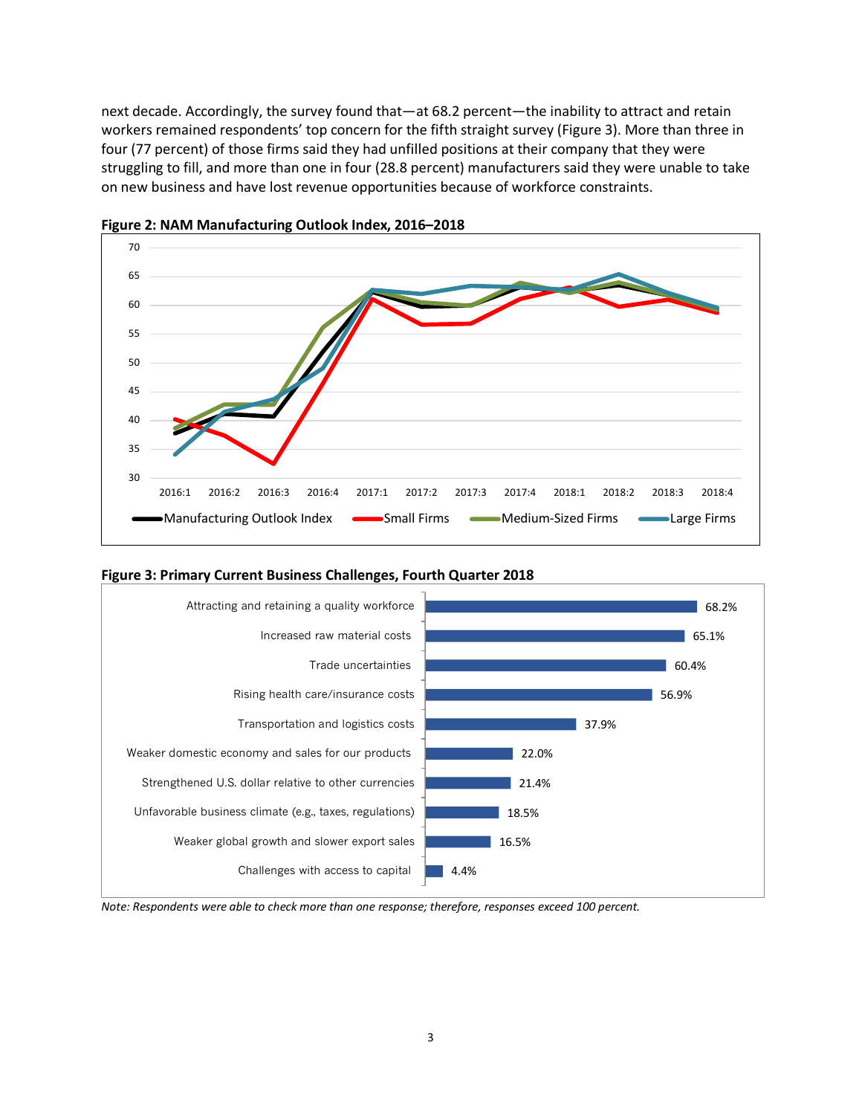next decade. Accordingly, the survey found that—at 68.2 percent—the inability to attract and retain workers remained respondents' top concern for the fifth straight survey (Figure 3). More than three in four (77 percent) of those firms said they had unfilled positions at their company that they were struggling to fill, and more than one in four (28.8 percent) manufacturers said they were unable to take on new business and have lost revenue opportunities because of workforce constraints.



**Figure 2: NAM Manufacturing Outlook Index, 2016–2018**



**Figure 3: Primary Current Business Challenges, Fourth Quarter 2018**

*Note: Respondents were able to check more than one response; therefore, responses exceed 100 percent.*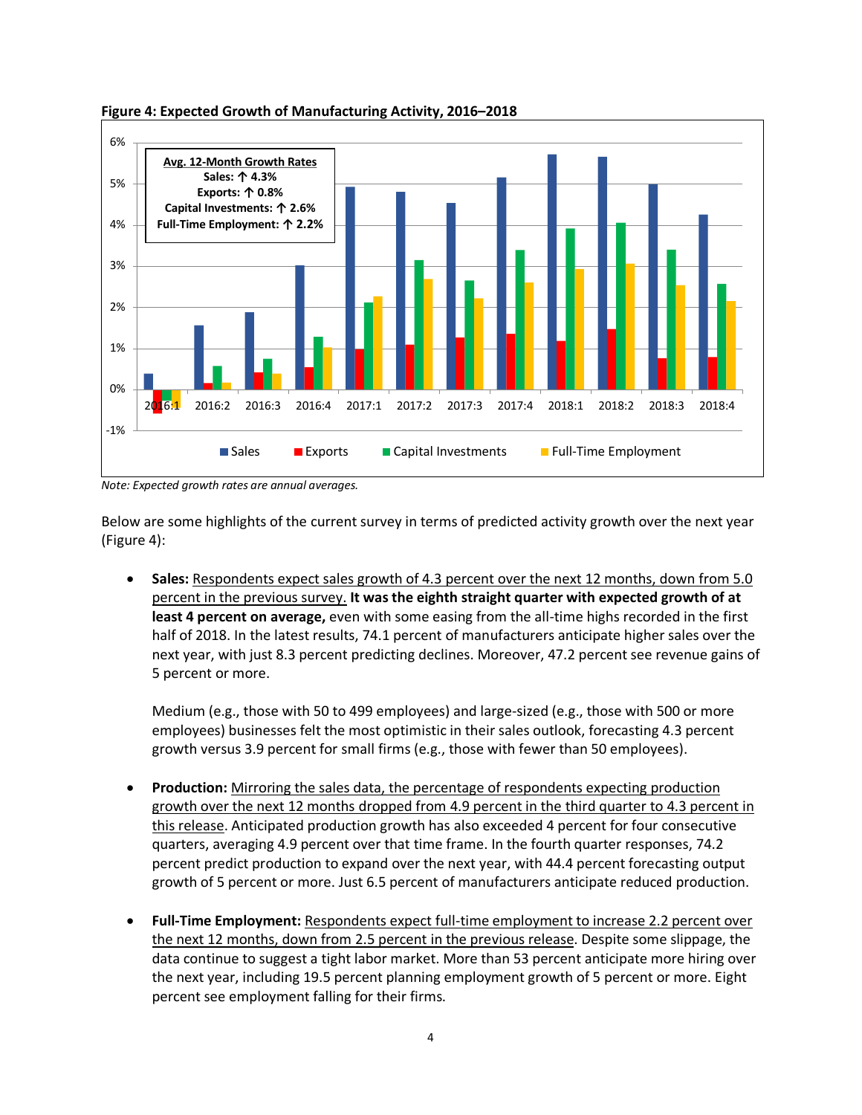

## **Figure 4: Expected Growth of Manufacturing Activity, 2016–2018**

*Note: Expected growth rates are annual averages.* 

Below are some highlights of the current survey in terms of predicted activity growth over the next year (Figure 4):

• **Sales:** Respondents expect sales growth of 4.3 percent over the next 12 months, down from 5.0 percent in the previous survey. **It was the eighth straight quarter with expected growth of at least 4 percent on average,** even with some easing from the all-time highs recorded in the first half of 2018. In the latest results, 74.1 percent of manufacturers anticipate higher sales over the next year, with just 8.3 percent predicting declines. Moreover, 47.2 percent see revenue gains of 5 percent or more.

Medium (e.g., those with 50 to 499 employees) and large-sized (e.g., those with 500 or more employees) businesses felt the most optimistic in their sales outlook, forecasting 4.3 percent growth versus 3.9 percent for small firms (e.g., those with fewer than 50 employees).

- **Production:** Mirroring the sales data, the percentage of respondents expecting production growth over the next 12 months dropped from 4.9 percent in the third quarter to 4.3 percent in this release. Anticipated production growth has also exceeded 4 percent for four consecutive quarters, averaging 4.9 percent over that time frame. In the fourth quarter responses, 74.2 percent predict production to expand over the next year, with 44.4 percent forecasting output growth of 5 percent or more. Just 6.5 percent of manufacturers anticipate reduced production.
- **Full-Time Employment:** Respondents expect full-time employment to increase 2.2 percent over the next 12 months, down from 2.5 percent in the previous release. Despite some slippage, the data continue to suggest a tight labor market. More than 53 percent anticipate more hiring over the next year, including 19.5 percent planning employment growth of 5 percent or more. Eight percent see employment falling for their firms.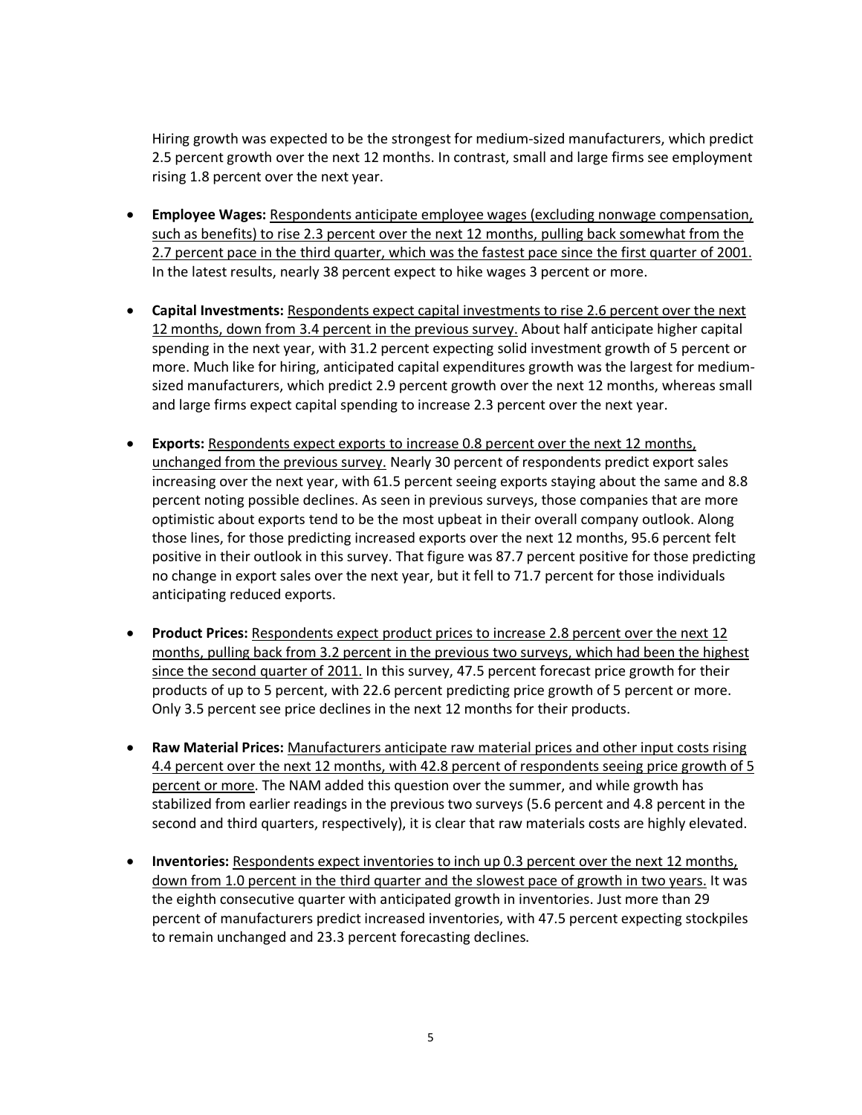Hiring growth was expected to be the strongest for medium-sized manufacturers, which predict 2.5 percent growth over the next 12 months. In contrast, small and large firms see employment rising 1.8 percent over the next year.

- **Employee Wages:** Respondents anticipate employee wages (excluding nonwage compensation, such as benefits) to rise 2.3 percent over the next 12 months, pulling back somewhat from the 2.7 percent pace in the third quarter, which was the fastest pace since the first quarter of 2001. In the latest results, nearly 38 percent expect to hike wages 3 percent or more.
- **Capital Investments:** Respondents expect capital investments to rise 2.6 percent over the next 12 months, down from 3.4 percent in the previous survey. About half anticipate higher capital spending in the next year, with 31.2 percent expecting solid investment growth of 5 percent or more. Much like for hiring, anticipated capital expenditures growth was the largest for mediumsized manufacturers, which predict 2.9 percent growth over the next 12 months, whereas small and large firms expect capital spending to increase 2.3 percent over the next year.
- **Exports:** Respondents expect exports to increase 0.8 percent over the next 12 months, unchanged from the previous survey. Nearly 30 percent of respondents predict export sales increasing over the next year, with 61.5 percent seeing exports staying about the same and 8.8 percent noting possible declines. As seen in previous surveys, those companies that are more optimistic about exports tend to be the most upbeat in their overall company outlook. Along those lines, for those predicting increased exports over the next 12 months, 95.6 percent felt positive in their outlook in this survey. That figure was 87.7 percent positive for those predicting no change in export sales over the next year, but it fell to 71.7 percent for those individuals anticipating reduced exports.
- **Product Prices:** Respondents expect product prices to increase 2.8 percent over the next 12 months, pulling back from 3.2 percent in the previous two surveys, which had been the highest since the second quarter of 2011. In this survey, 47.5 percent forecast price growth for their products of up to 5 percent, with 22.6 percent predicting price growth of 5 percent or more. Only 3.5 percent see price declines in the next 12 months for their products.
- **Raw Material Prices:** Manufacturers anticipate raw material prices and other input costs rising 4.4 percent over the next 12 months, with 42.8 percent of respondents seeing price growth of 5 percent or more. The NAM added this question over the summer, and while growth has stabilized from earlier readings in the previous two surveys (5.6 percent and 4.8 percent in the second and third quarters, respectively), it is clear that raw materials costs are highly elevated.
- **Inventories:** Respondents expect inventories to inch up 0.3 percent over the next 12 months, down from 1.0 percent in the third quarter and the slowest pace of growth in two years. It was the eighth consecutive quarter with anticipated growth in inventories. Just more than 29 percent of manufacturers predict increased inventories, with 47.5 percent expecting stockpiles to remain unchanged and 23.3 percent forecasting declines.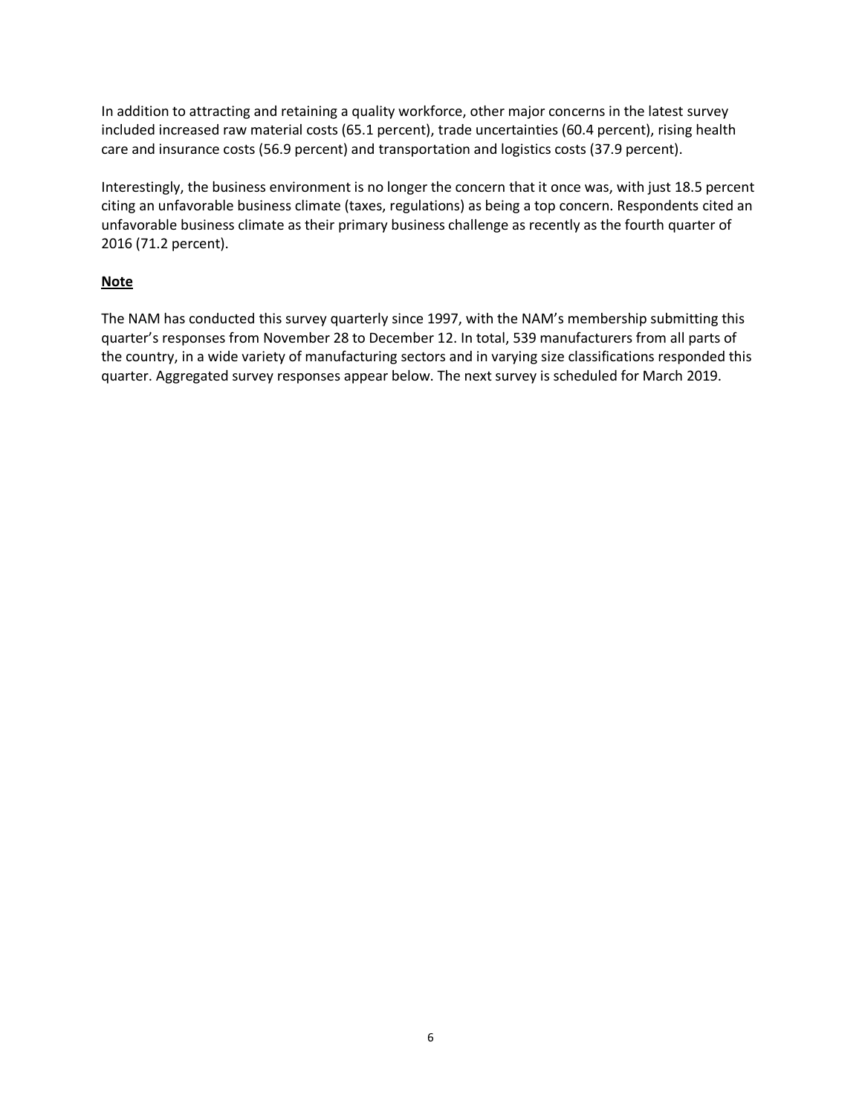In addition to attracting and retaining a quality workforce, other major concerns in the latest survey included increased raw material costs (65.1 percent), trade uncertainties (60.4 percent), rising health care and insurance costs (56.9 percent) and transportation and logistics costs (37.9 percent).

Interestingly, the business environment is no longer the concern that it once was, with just 18.5 percent citing an unfavorable business climate (taxes, regulations) as being a top concern. Respondents cited an unfavorable business climate as their primary business challenge as recently as the fourth quarter of 2016 (71.2 percent).

# **Note**

The NAM has conducted this survey quarterly since 1997, with the NAM's membership submitting this quarter's responses from November 28 to December 12. In total, 539 manufacturers from all parts of the country, in a wide variety of manufacturing sectors and in varying size classifications responded this quarter. Aggregated survey responses appear below. The next survey is scheduled for March 2019.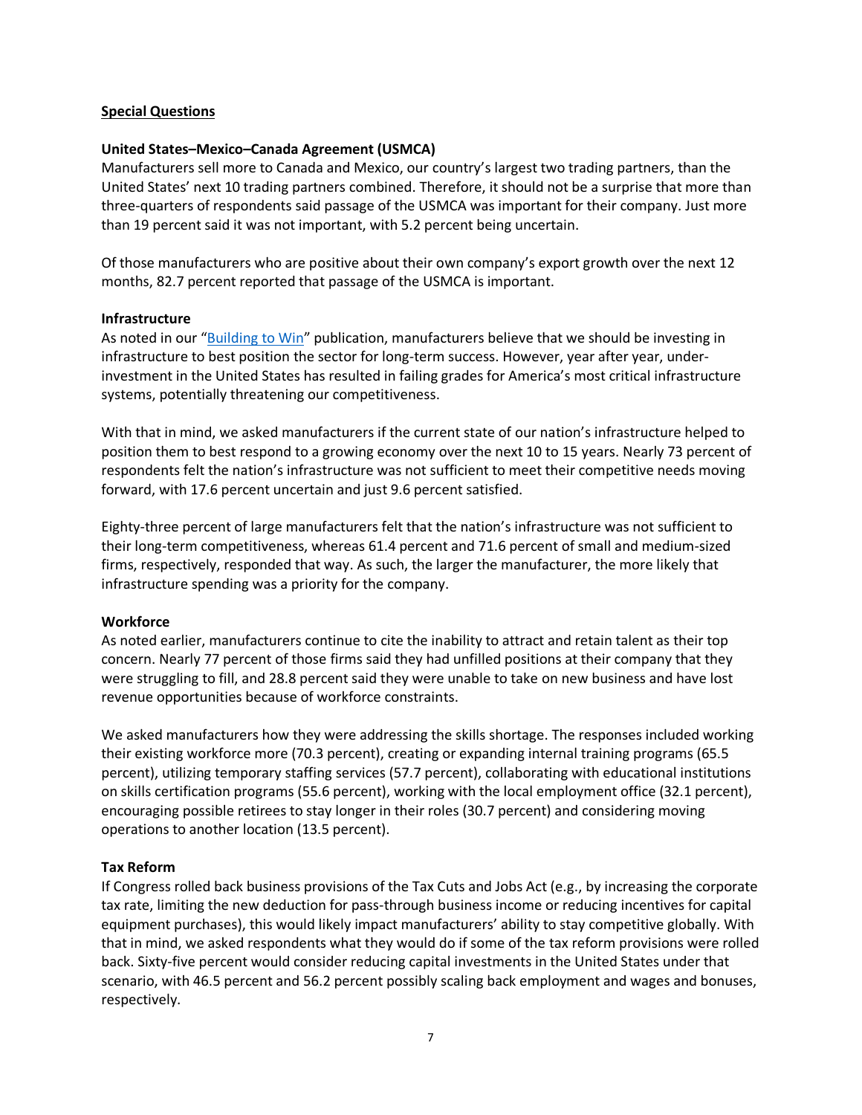# **Special Questions**

## **United States–Mexico–Canada Agreement (USMCA)**

Manufacturers sell more to Canada and Mexico, our country's largest two trading partners, than the United States' next 10 trading partners combined. Therefore, it should not be a surprise that more than three-quarters of respondents said passage of the USMCA was important for their company. Just more than 19 percent said it was not important, with 5.2 percent being uncertain.

Of those manufacturers who are positive about their own company's export growth over the next 12 months, 82.7 percent reported that passage of the USMCA is important.

#### **Infrastructure**

As noted in our "Building to Win" publication, manufacturers believe that we should be investing in infrastructure to best position the sector for long-term success. However, year after year, underinvestment in the United States has resulted in failing grades for America's most critical infrastructure systems, potentially threatening our competitiveness.

With that in mind, we asked manufacturers if the current state of our nation's infrastructure helped to position them to best respond to a growing economy over the next 10 to 15 years. Nearly 73 percent of respondents felt the nation's infrastructure was not sufficient to meet their competitive needs moving forward, with 17.6 percent uncertain and just 9.6 percent satisfied.

Eighty-three percent of large manufacturers felt that the nation's infrastructure was not sufficient to their long-term competitiveness, whereas 61.4 percent and 71.6 percent of small and medium-sized firms, respectively, responded that way. As such, the larger the manufacturer, the more likely that infrastructure spending was a priority for the company.

#### **Workforce**

As noted earlier, manufacturers continue to cite the inability to attract and retain talent as their top concern. Nearly 77 percent of those firms said they had unfilled positions at their company that they were struggling to fill, and 28.8 percent said they were unable to take on new business and have lost revenue opportunities because of workforce constraints.

We asked manufacturers how they were addressing the skills shortage. The responses included working their existing workforce more (70.3 percent), creating or expanding internal training programs (65.5 percent), utilizing temporary staffing services (57.7 percent), collaborating with educational institutions on skills certification programs (55.6 percent), working with the local employment office (32.1 percent), encouraging possible retirees to stay longer in their roles (30.7 percent) and considering moving operations to another location (13.5 percent).

#### **Tax Reform**

If Congress rolled back business provisions of the Tax Cuts and Jobs Act (e.g., by increasing the corporate tax rate, limiting the new deduction for pass-through business income or reducing incentives for capital equipment purchases), this would likely impact manufacturers' ability to stay competitive globally. With that in mind, we asked respondents what they would do if some of the tax reform provisions were rolled back. Sixty-five percent would consider reducing capital investments in the United States under that scenario, with 46.5 percent and 56.2 percent possibly scaling back employment and wages and bonuses, respectively.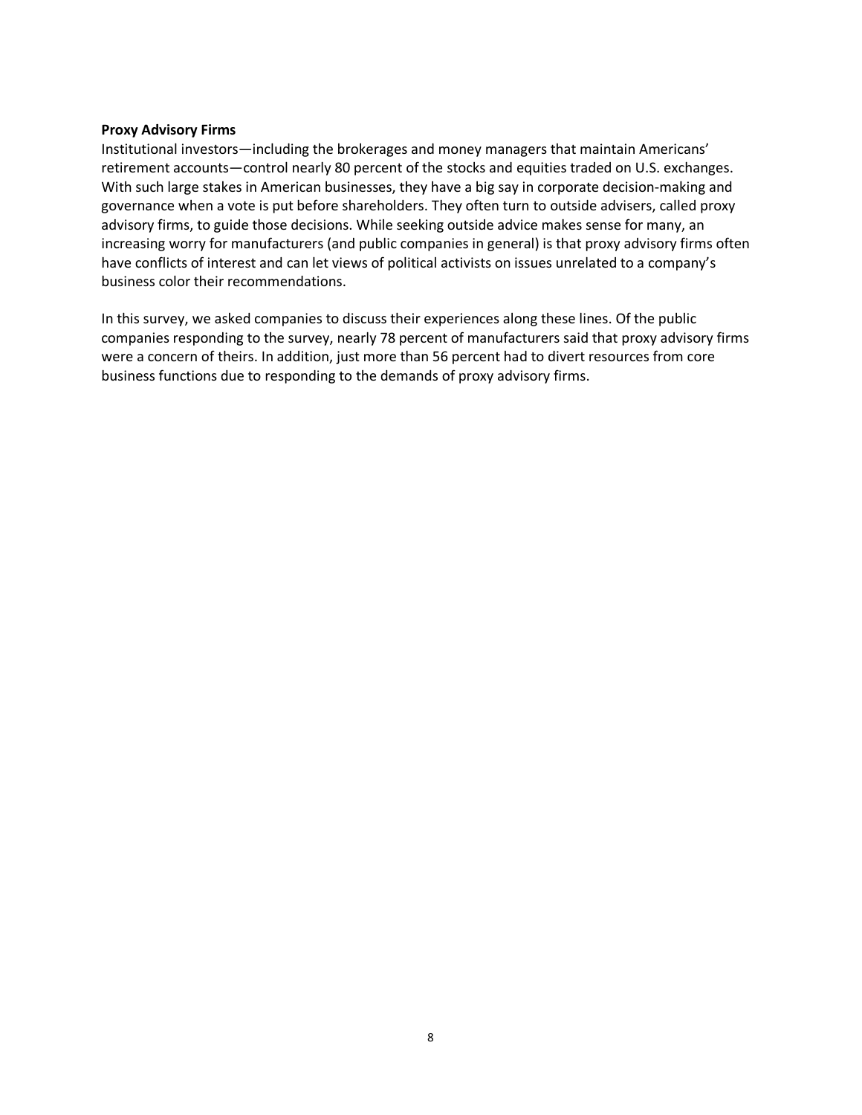## **Proxy Advisory Firms**

Institutional investors—including the brokerages and money managers that maintain Americans' retirement accounts—control nearly 80 percent of the stocks and equities traded on U.S. exchanges. With such large stakes in American businesses, they have a big say in corporate decision-making and governance when a vote is put before shareholders. They often turn to outside advisers, called proxy advisory firms, to guide those decisions. While seeking outside advice makes sense for many, an increasing worry for manufacturers (and public companies in general) is that proxy advisory firms often have conflicts of interest and can let views of political activists on issues unrelated to a company's business color their recommendations.

In this survey, we asked companies to discuss their experiences along these lines. Of the public companies responding to the survey, nearly 78 percent of manufacturers said that proxy advisory firms were a concern of theirs. In addition, just more than 56 percent had to divert resources from core business functions due to responding to the demands of proxy advisory firms.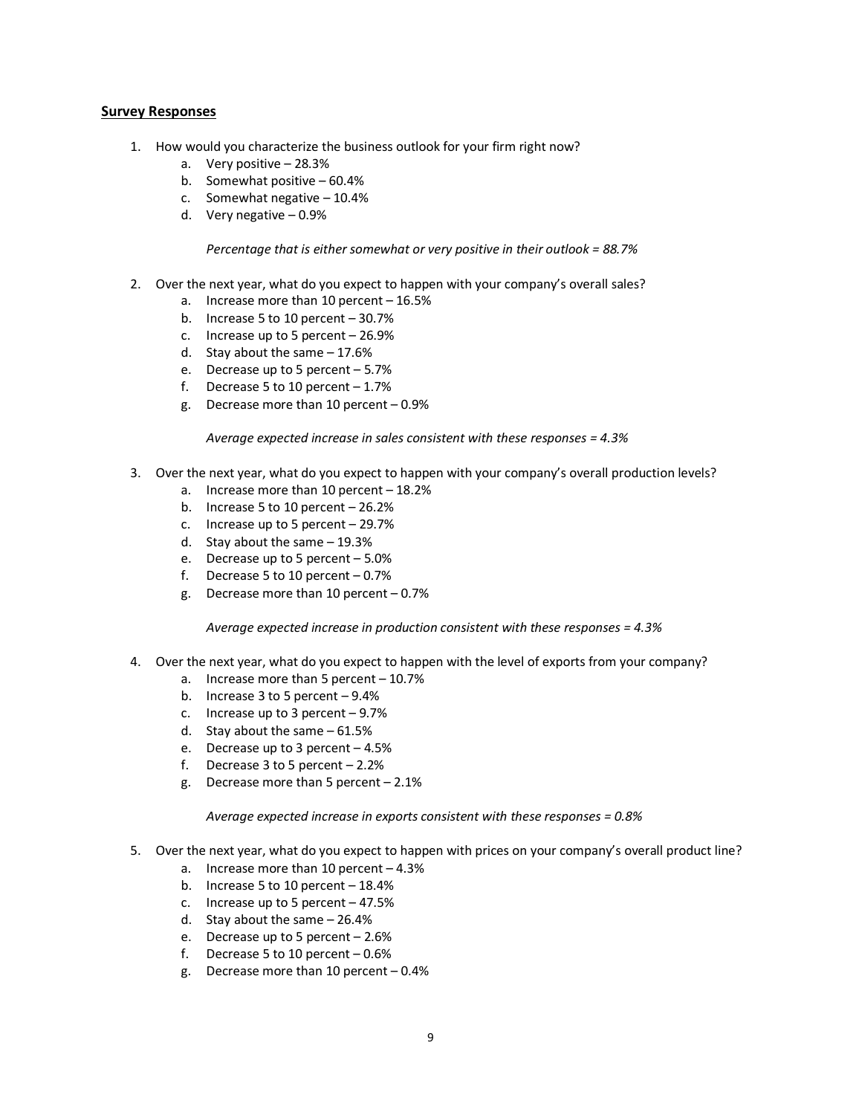#### **Survey Responses**

- 1. How would you characterize the business outlook for your firm right now?
	- a. Very positive 28.3%
	- b. Somewhat positive 60.4%
	- c. Somewhat negative 10.4%
	- d. Very negative 0.9%

*Percentage that is either somewhat or very positive in their outlook = 88.7%*

- 2. Over the next year, what do you expect to happen with your company's overall sales?
	- a. Increase more than 10 percent 16.5%
	- b. Increase 5 to 10 percent 30.7%
	- c. Increase up to 5 percent 26.9%
	- d. Stay about the same 17.6%
	- e. Decrease up to 5 percent 5.7%
	- f. Decrease 5 to 10 percent  $-1.7%$
	- g. Decrease more than 10 percent 0.9%

*Average expected increase in sales consistent with these responses = 4.3%*

- 3. Over the next year, what do you expect to happen with your company's overall production levels?
	- a. Increase more than 10 percent 18.2%
	- b. Increase 5 to 10 percent  $-26.2%$
	- c. Increase up to 5 percent 29.7%
	- d. Stay about the same 19.3%
	- e. Decrease up to 5 percent 5.0%
	- f. Decrease 5 to 10 percent  $-0.7%$
	- g. Decrease more than 10 percent 0.7%

*Average expected increase in production consistent with these responses = 4.3%*

- 4. Over the next year, what do you expect to happen with the level of exports from your company?
	- a. Increase more than 5 percent 10.7%
	- b. Increase 3 to 5 percent 9.4%
	- c. Increase up to 3 percent 9.7%
	- d. Stay about the same 61.5%
	- e. Decrease up to 3 percent 4.5%
	- f. Decrease  $3$  to  $5$  percent  $-2.2%$
	- g. Decrease more than 5 percent 2.1%

*Average expected increase in exports consistent with these responses = 0.8%*

- 5. Over the next year, what do you expect to happen with prices on your company's overall product line?
	- a. Increase more than 10 percent 4.3%
	- b. Increase 5 to 10 percent  $-18.4%$
	- c. Increase up to 5 percent 47.5%
	- d. Stay about the same 26.4%
	- e. Decrease up to 5 percent 2.6%
	- f. Decrease 5 to 10 percent  $-0.6%$
	- g. Decrease more than 10 percent 0.4%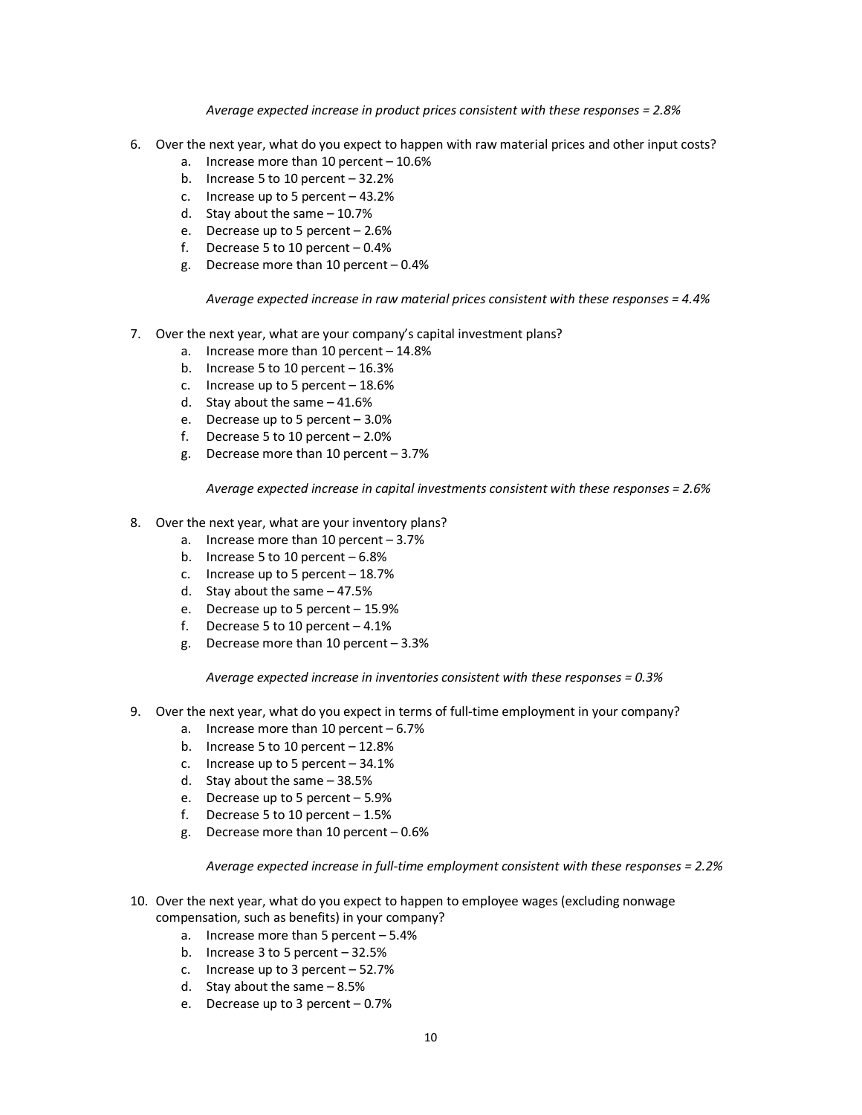#### *Average expected increase in product prices consistent with these responses = 2.8%*

- 6. Over the next year, what do you expect to happen with raw material prices and other input costs?
	- a. Increase more than 10 percent 10.6%
	- b. Increase 5 to 10 percent 32.2%
	- c. Increase up to 5 percent 43.2%
	- d. Stay about the same 10.7%
	- e. Decrease up to 5 percent 2.6%
	- f. Decrease 5 to 10 percent  $-0.4%$
	- g. Decrease more than 10 percent 0.4%

*Average expected increase in raw material prices consistent with these responses = 4.4%*

- 7. Over the next year, what are your company's capital investment plans?
	- a. Increase more than 10 percent 14.8%
	- b. Increase 5 to 10 percent  $-16.3%$
	- c. Increase up to 5 percent 18.6%
	- d. Stay about the same 41.6%
	- e. Decrease up to 5 percent 3.0%
	- f. Decrease 5 to 10 percent  $-2.0\%$
	- g. Decrease more than 10 percent 3.7%

*Average expected increase in capital investments consistent with these responses = 2.6%*

- 8. Over the next year, what are your inventory plans?
	- a. Increase more than 10 percent 3.7%
	- b. Increase 5 to 10 percent 6.8%
	- c. Increase up to 5 percent 18.7%
	- d. Stay about the same 47.5%
	- e. Decrease up to 5 percent 15.9%
	- f. Decrease 5 to 10 percent  $-4.1\%$
	- g. Decrease more than 10 percent 3.3%

*Average expected increase in inventories consistent with these responses = 0.3%*

- 9. Over the next year, what do you expect in terms of full-time employment in your company?
	- a. Increase more than 10 percent 6.7%
	- b. Increase 5 to 10 percent  $-12.8%$
	- c. Increase up to 5 percent 34.1%
	- d. Stay about the same 38.5%
	- e. Decrease up to 5 percent 5.9%
	- f. Decrease 5 to 10 percent  $-1.5%$
	- g. Decrease more than 10 percent 0.6%

*Average expected increase in full-time employment consistent with these responses = 2.2%*

- 10. Over the next year, what do you expect to happen to employee wages (excluding nonwage compensation, such as benefits) in your company?
	- a. Increase more than 5 percent 5.4%
	- b. Increase 3 to 5 percent 32.5%
	- c. Increase up to 3 percent 52.7%
	- d. Stay about the same 8.5%
	- e. Decrease up to 3 percent 0.7%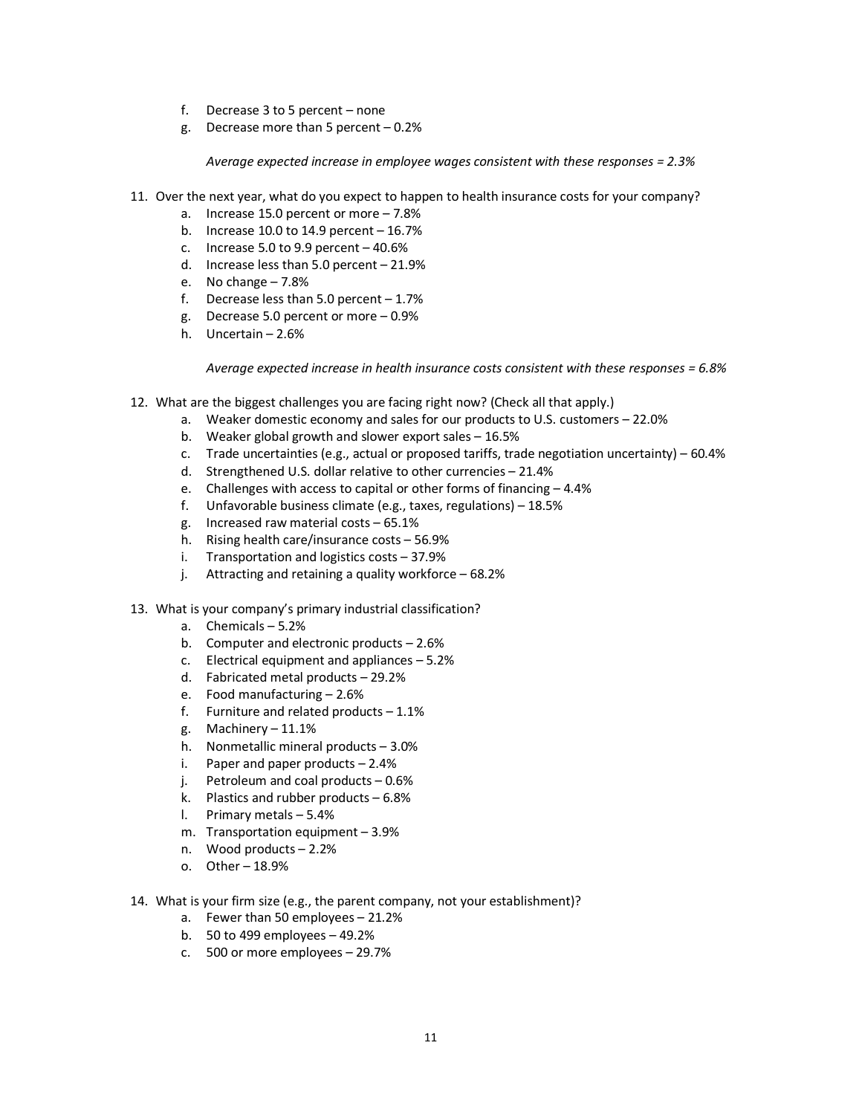- f. Decrease 3 to 5 percent none
- g. Decrease more than 5 percent 0.2%

*Average expected increase in employee wages consistent with these responses = 2.3%*

- 11. Over the next year, what do you expect to happen to health insurance costs for your company?
	- a. Increase 15.0 percent or more 7.8%
	- b. Increase  $10.0$  to  $14.9$  percent  $-16.7%$
	- c. Increase 5.0 to 9.9 percent  $-40.6%$
	- d. Increase less than 5.0 percent 21.9%
	- e. No change 7.8%
	- f. Decrease less than  $5.0$  percent  $-1.7\%$
	- g. Decrease 5.0 percent or more 0.9%
	- h. Uncertain 2.6%

*Average expected increase in health insurance costs consistent with these responses = 6.8%*

- 12. What are the biggest challenges you are facing right now? (Check all that apply.)
	- a. Weaker domestic economy and sales for our products to U.S. customers 22.0%
	- b. Weaker global growth and slower export sales 16.5%
	- c. Trade uncertainties (e.g., actual or proposed tariffs, trade negotiation uncertainty) 60.4%
	- d. Strengthened U.S. dollar relative to other currencies 21.4%
	- e. Challenges with access to capital or other forms of financing 4.4%
	- f. Unfavorable business climate (e.g., taxes, regulations) 18.5%
	- g. Increased raw material costs 65.1%
	- h. Rising health care/insurance costs 56.9%
	- i. Transportation and logistics costs 37.9%
	- j. Attracting and retaining a quality workforce 68.2%
- 13. What is your company's primary industrial classification?
	- a. Chemicals 5.2%
	- b. Computer and electronic products 2.6%
	- c. Electrical equipment and appliances 5.2%
	- d. Fabricated metal products 29.2%
	- e. Food manufacturing 2.6%
	- f. Furniture and related products  $-1.1\%$
	- g. Machinery 11.1%
	- h. Nonmetallic mineral products 3.0%
	- i. Paper and paper products  $-2.4%$
	- j. Petroleum and coal products 0.6%
	- k. Plastics and rubber products 6.8%
	- l. Primary metals 5.4%
	- m. Transportation equipment 3.9%
	- n. Wood products 2.2%
	- o. Other 18.9%
- 14. What is your firm size (e.g., the parent company, not your establishment)?
	- a. Fewer than 50 employees 21.2%
	- b. 50 to 499 employees 49.2%
	- c. 500 or more employees 29.7%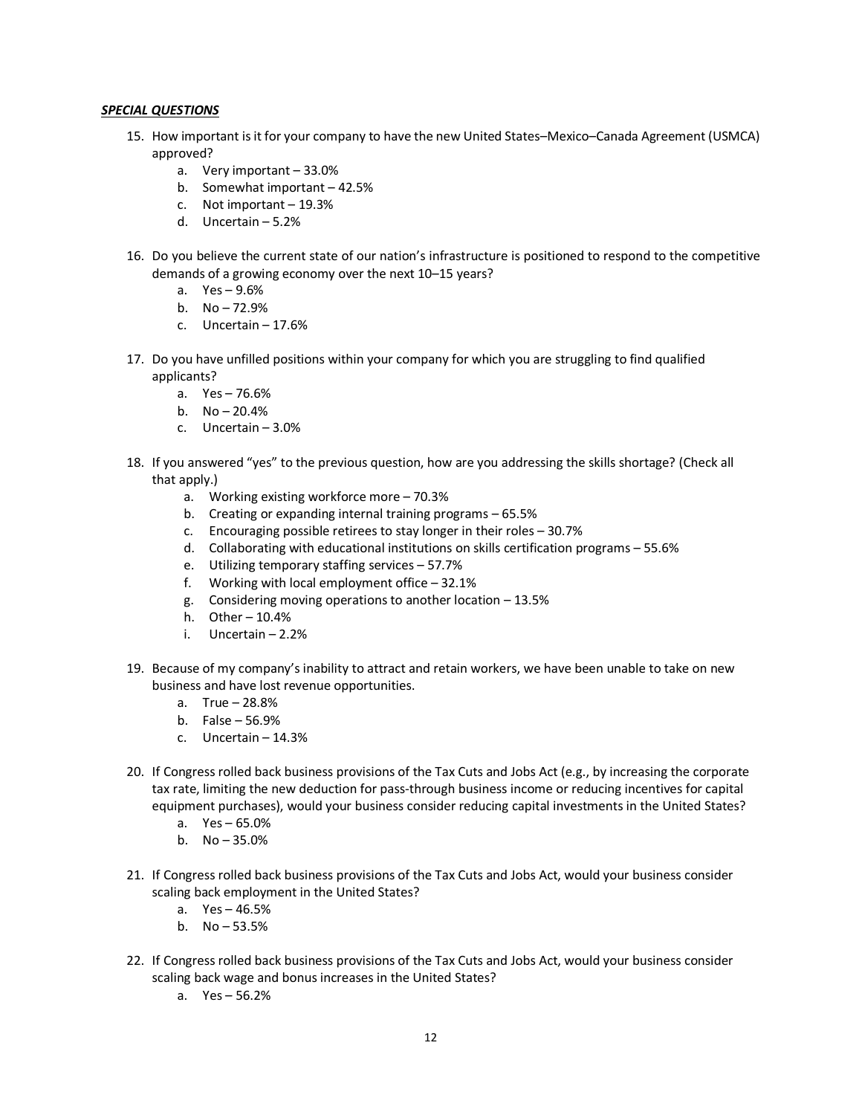#### *SPECIAL QUESTIONS*

- 15. How important is it for your company to have the new United States–Mexico–Canada Agreement (USMCA) approved?
	- a. Very important 33.0%
	- b. Somewhat important 42.5%
	- c. Not important 19.3%
	- d. Uncertain 5.2%
- 16. Do you believe the current state of our nation's infrastructure is positioned to respond to the competitive demands of a growing economy over the next 10–15 years?
	- a. Yes 9.6%
	- b. No 72.9%
	- c. Uncertain 17.6%
- 17. Do you have unfilled positions within your company for which you are struggling to find qualified applicants?
	- a. Yes 76.6%
	- b. No 20.4%
	- c. Uncertain 3.0%
- 18. If you answered "yes" to the previous question, how are you addressing the skills shortage? (Check all that apply.)
	- a. Working existing workforce more 70.3%
	- b. Creating or expanding internal training programs 65.5%
	- c. Encouraging possible retirees to stay longer in their roles 30.7%
	- d. Collaborating with educational institutions on skills certification programs 55.6%
	- e. Utilizing temporary staffing services 57.7%
	- f. Working with local employment office 32.1%
	- g. Considering moving operations to another location 13.5%
	- h. Other 10.4%
	- i. Uncertain 2.2%
- 19. Because of my company's inability to attract and retain workers, we have been unable to take on new business and have lost revenue opportunities.
	- a. True 28.8%
	- b. False 56.9%
	- c. Uncertain 14.3%
- 20. If Congress rolled back business provisions of the Tax Cuts and Jobs Act (e.g., by increasing the corporate tax rate, limiting the new deduction for pass-through business income or reducing incentives for capital equipment purchases), would your business consider reducing capital investments in the United States?
	- a. Yes 65.0%
	- b. No 35.0%
- 21. If Congress rolled back business provisions of the Tax Cuts and Jobs Act, would your business consider scaling back employment in the United States?
	- a. Yes 46.5%
	- b. No 53.5%
- 22. If Congress rolled back business provisions of the Tax Cuts and Jobs Act, would your business consider scaling back wage and bonus increases in the United States?
	- a. Yes 56.2%